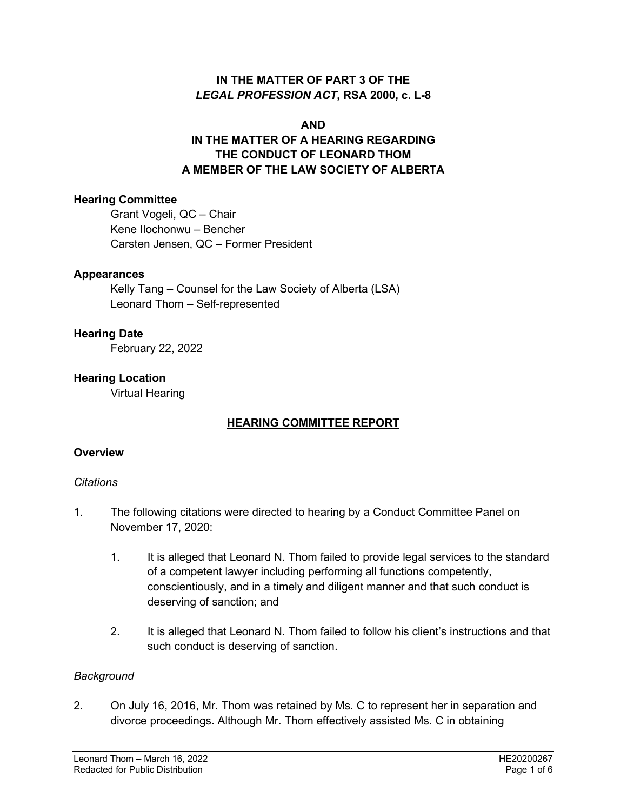### **IN THE MATTER OF PART 3 OF THE**  *LEGAL PROFESSION ACT***, RSA 2000, c. L-8**

#### **AND**

# **IN THE MATTER OF A HEARING REGARDING THE CONDUCT OF LEONARD THOM A MEMBER OF THE LAW SOCIETY OF ALBERTA**

### **Hearing Committee**

Grant Vogeli, QC – Chair Kene Ilochonwu – Bencher Carsten Jensen, QC – Former President

### **Appearances**

Kelly Tang – Counsel for the Law Society of Alberta (LSA) Leonard Thom – Self-represented

### **Hearing Date**

February 22, 2022

### **Hearing Location**

Virtual Hearing

### **HEARING COMMITTEE REPORT**

### **Overview**

#### *Citations*

- 1. The following citations were directed to hearing by a Conduct Committee Panel on November 17, 2020:
	- 1. It is alleged that Leonard N. Thom failed to provide legal services to the standard of a competent lawyer including performing all functions competently, conscientiously, and in a timely and diligent manner and that such conduct is deserving of sanction; and
	- 2. It is alleged that Leonard N. Thom failed to follow his client's instructions and that such conduct is deserving of sanction.

#### *Background*

2. On July 16, 2016, Mr. Thom was retained by Ms. C to represent her in separation and divorce proceedings. Although Mr. Thom effectively assisted Ms. C in obtaining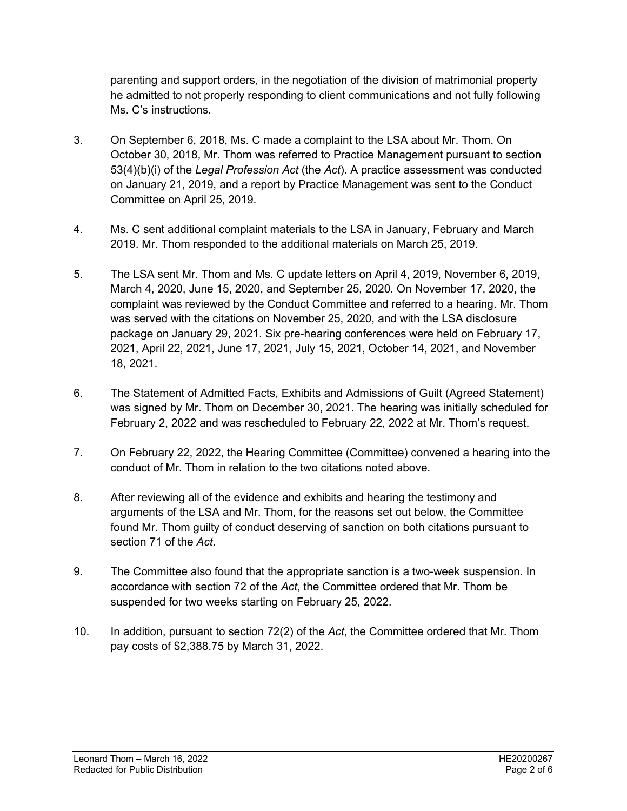parenting and support orders, in the negotiation of the division of matrimonial property he admitted to not properly responding to client communications and not fully following Ms. C's instructions.

- 3. On September 6, 2018, Ms. C made a complaint to the LSA about Mr. Thom. On October 30, 2018, Mr. Thom was referred to Practice Management pursuant to section 53(4)(b)(i) of the *Legal Profession Act* (the *Act*). A practice assessment was conducted on January 21, 2019, and a report by Practice Management was sent to the Conduct Committee on April 25, 2019.
- 4. Ms. C sent additional complaint materials to the LSA in January, February and March 2019. Mr. Thom responded to the additional materials on March 25, 2019.
- 5. The LSA sent Mr. Thom and Ms. C update letters on April 4, 2019, November 6, 2019, March 4, 2020, June 15, 2020, and September 25, 2020. On November 17, 2020, the complaint was reviewed by the Conduct Committee and referred to a hearing. Mr. Thom was served with the citations on November 25, 2020, and with the LSA disclosure package on January 29, 2021. Six pre-hearing conferences were held on February 17, 2021, April 22, 2021, June 17, 2021, July 15, 2021, October 14, 2021, and November 18, 2021.
- 6. The Statement of Admitted Facts, Exhibits and Admissions of Guilt (Agreed Statement) was signed by Mr. Thom on December 30, 2021. The hearing was initially scheduled for February 2, 2022 and was rescheduled to February 22, 2022 at Mr. Thom's request.
- 7. On February 22, 2022, the Hearing Committee (Committee) convened a hearing into the conduct of Mr. Thom in relation to the two citations noted above.
- 8. After reviewing all of the evidence and exhibits and hearing the testimony and arguments of the LSA and Mr. Thom, for the reasons set out below, the Committee found Mr. Thom guilty of conduct deserving of sanction on both citations pursuant to section 71 of the *Act*.
- 9. The Committee also found that the appropriate sanction is a two-week suspension. In accordance with section 72 of the *Act*, the Committee ordered that Mr. Thom be suspended for two weeks starting on February 25, 2022.
- 10. In addition, pursuant to section 72(2) of the *Act*, the Committee ordered that Mr. Thom pay costs of \$2,388.75 by March 31, 2022.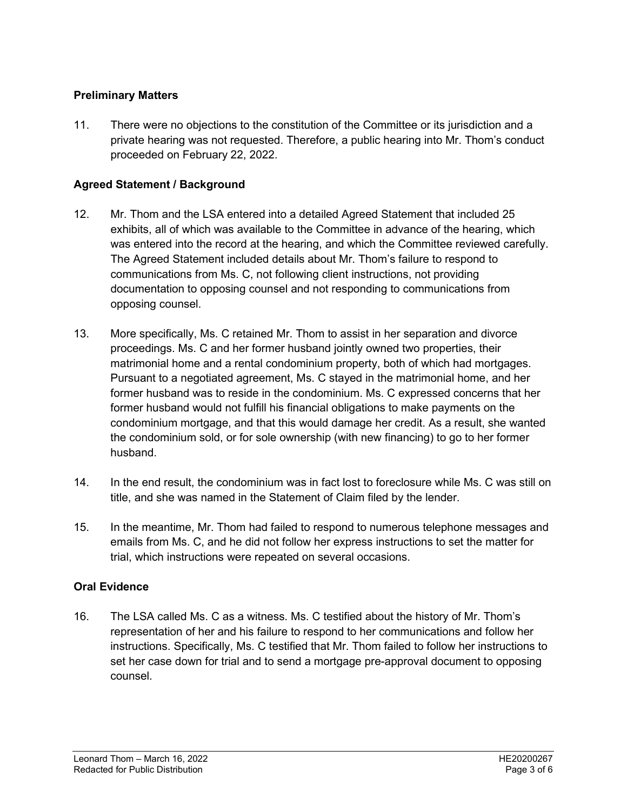## **Preliminary Matters**

11. There were no objections to the constitution of the Committee or its jurisdiction and a private hearing was not requested. Therefore, a public hearing into Mr. Thom's conduct proceeded on February 22, 2022.

## **Agreed Statement / Background**

- 12. Mr. Thom and the LSA entered into a detailed Agreed Statement that included 25 exhibits, all of which was available to the Committee in advance of the hearing, which was entered into the record at the hearing, and which the Committee reviewed carefully. The Agreed Statement included details about Mr. Thom's failure to respond to communications from Ms. C, not following client instructions, not providing documentation to opposing counsel and not responding to communications from opposing counsel.
- 13. More specifically, Ms. C retained Mr. Thom to assist in her separation and divorce proceedings. Ms. C and her former husband jointly owned two properties, their matrimonial home and a rental condominium property, both of which had mortgages. Pursuant to a negotiated agreement, Ms. C stayed in the matrimonial home, and her former husband was to reside in the condominium. Ms. C expressed concerns that her former husband would not fulfill his financial obligations to make payments on the condominium mortgage, and that this would damage her credit. As a result, she wanted the condominium sold, or for sole ownership (with new financing) to go to her former husband.
- 14. In the end result, the condominium was in fact lost to foreclosure while Ms. C was still on title, and she was named in the Statement of Claim filed by the lender.
- 15. In the meantime, Mr. Thom had failed to respond to numerous telephone messages and emails from Ms. C, and he did not follow her express instructions to set the matter for trial, which instructions were repeated on several occasions.

### **Oral Evidence**

16. The LSA called Ms. C as a witness. Ms. C testified about the history of Mr. Thom's representation of her and his failure to respond to her communications and follow her instructions. Specifically, Ms. C testified that Mr. Thom failed to follow her instructions to set her case down for trial and to send a mortgage pre-approval document to opposing counsel.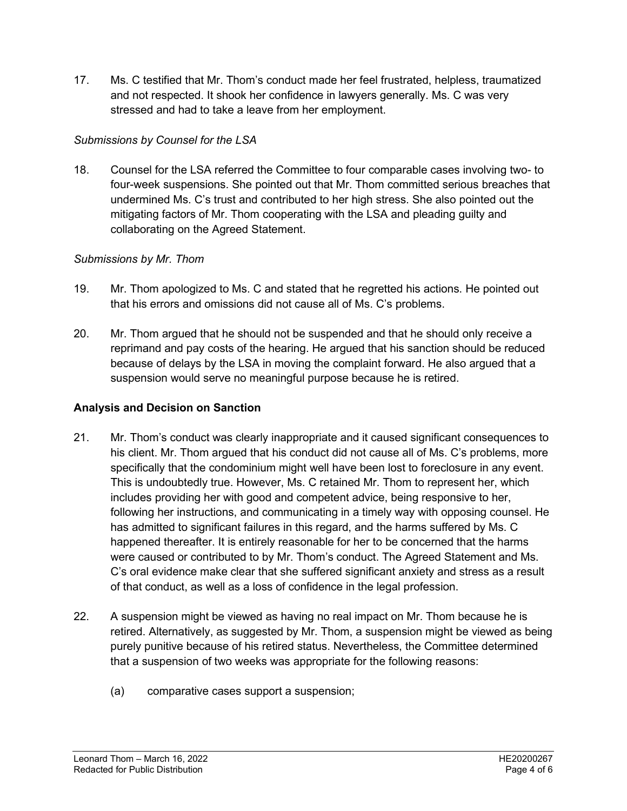17. Ms. C testified that Mr. Thom's conduct made her feel frustrated, helpless, traumatized and not respected. It shook her confidence in lawyers generally. Ms. C was very stressed and had to take a leave from her employment.

# *Submissions by Counsel for the LSA*

18. Counsel for the LSA referred the Committee to four comparable cases involving two- to four-week suspensions. She pointed out that Mr. Thom committed serious breaches that undermined Ms. C's trust and contributed to her high stress. She also pointed out the mitigating factors of Mr. Thom cooperating with the LSA and pleading guilty and collaborating on the Agreed Statement.

## *Submissions by Mr. Thom*

- 19. Mr. Thom apologized to Ms. C and stated that he regretted his actions. He pointed out that his errors and omissions did not cause all of Ms. C's problems.
- 20. Mr. Thom argued that he should not be suspended and that he should only receive a reprimand and pay costs of the hearing. He argued that his sanction should be reduced because of delays by the LSA in moving the complaint forward. He also argued that a suspension would serve no meaningful purpose because he is retired.

## **Analysis and Decision on Sanction**

- 21. Mr. Thom's conduct was clearly inappropriate and it caused significant consequences to his client. Mr. Thom argued that his conduct did not cause all of Ms. C's problems, more specifically that the condominium might well have been lost to foreclosure in any event. This is undoubtedly true. However, Ms. C retained Mr. Thom to represent her, which includes providing her with good and competent advice, being responsive to her, following her instructions, and communicating in a timely way with opposing counsel. He has admitted to significant failures in this regard, and the harms suffered by Ms. C happened thereafter. It is entirely reasonable for her to be concerned that the harms were caused or contributed to by Mr. Thom's conduct. The Agreed Statement and Ms. C's oral evidence make clear that she suffered significant anxiety and stress as a result of that conduct, as well as a loss of confidence in the legal profession.
- 22. A suspension might be viewed as having no real impact on Mr. Thom because he is retired. Alternatively, as suggested by Mr. Thom, a suspension might be viewed as being purely punitive because of his retired status. Nevertheless, the Committee determined that a suspension of two weeks was appropriate for the following reasons:
	- (a) comparative cases support a suspension;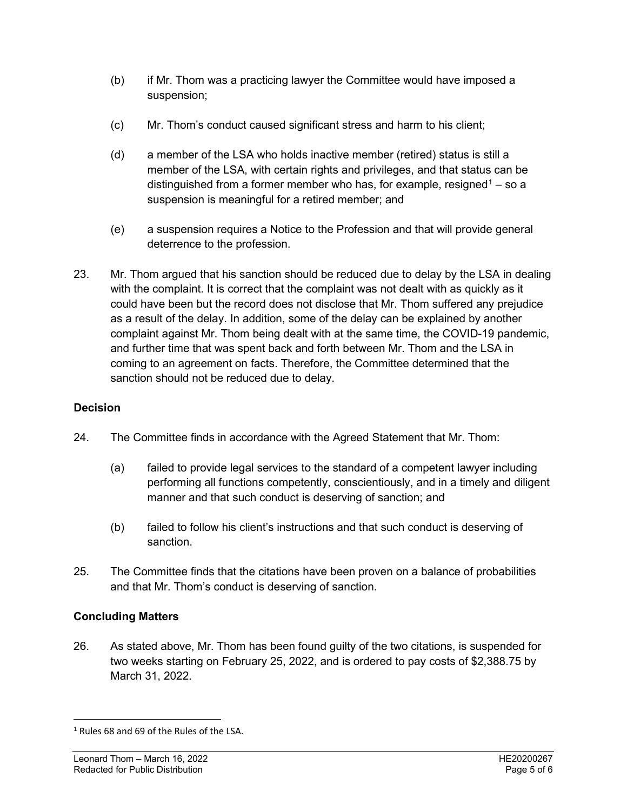- (b) if Mr. Thom was a practicing lawyer the Committee would have imposed a suspension;
- (c) Mr. Thom's conduct caused significant stress and harm to his client;
- (d) a member of the LSA who holds inactive member (retired) status is still a member of the LSA, with certain rights and privileges, and that status can be distinguished from a former member who has, for example, resigned<sup>[1](#page-4-0)</sup> – so a suspension is meaningful for a retired member; and
- (e) a suspension requires a Notice to the Profession and that will provide general deterrence to the profession.
- 23. Mr. Thom argued that his sanction should be reduced due to delay by the LSA in dealing with the complaint. It is correct that the complaint was not dealt with as quickly as it could have been but the record does not disclose that Mr. Thom suffered any prejudice as a result of the delay. In addition, some of the delay can be explained by another complaint against Mr. Thom being dealt with at the same time, the COVID-19 pandemic, and further time that was spent back and forth between Mr. Thom and the LSA in coming to an agreement on facts. Therefore, the Committee determined that the sanction should not be reduced due to delay.

## **Decision**

- 24. The Committee finds in accordance with the Agreed Statement that Mr. Thom:
	- (a) failed to provide legal services to the standard of a competent lawyer including performing all functions competently, conscientiously, and in a timely and diligent manner and that such conduct is deserving of sanction; and
	- (b) failed to follow his client's instructions and that such conduct is deserving of sanction.
- 25. The Committee finds that the citations have been proven on a balance of probabilities and that Mr. Thom's conduct is deserving of sanction.

# **Concluding Matters**

26. As stated above, Mr. Thom has been found guilty of the two citations, is suspended for two weeks starting on February 25, 2022, and is ordered to pay costs of \$2,388.75 by March 31, 2022.

<span id="page-4-0"></span><sup>&</sup>lt;sup>1</sup> Rules 68 and 69 of the Rules of the LSA.